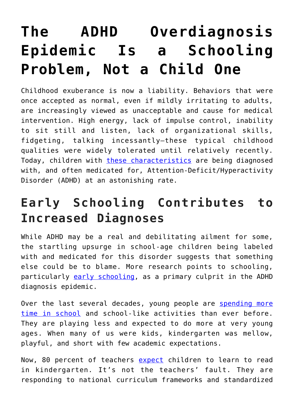# **[The ADHD Overdiagnosis](https://intellectualtakeout.org/2019/04/the-adhd-overdiagnosis-epidemic-is-a-schooling-problem-not-a-child-one/) [Epidemic Is a Schooling](https://intellectualtakeout.org/2019/04/the-adhd-overdiagnosis-epidemic-is-a-schooling-problem-not-a-child-one/) [Problem, Not a Child One](https://intellectualtakeout.org/2019/04/the-adhd-overdiagnosis-epidemic-is-a-schooling-problem-not-a-child-one/)**

Childhood exuberance is now a liability. Behaviors that were once accepted as normal, even if mildly irritating to adults, are increasingly viewed as unacceptable and cause for medical intervention. High energy, lack of impulse control, inability to sit still and listen, lack of organizational skills, fidgeting, talking incessantly—these typical childhood qualities were widely tolerated until relatively recently. Today, children with [these characteristics](https://www.cdc.gov/ncbddd/adhd/diagnosis.html) are being diagnosed with, and often medicated for, Attention-Deficit/Hyperactivity Disorder (ADHD) at an astonishing rate.

## **Early Schooling Contributes to Increased Diagnoses**

While ADHD may be a real and debilitating ailment for some, the startling upsurge in school-age children being labeled with and medicated for this disorder suggests that something else could be to blame. More research points to schooling, particularly [early schooling,](https://fee.org/articles/harvard-study-shows-the-dangers-of-early-school-enrollment/) as a primary culprit in the ADHD diagnosis epidemic.

Over the last several decades, young people are [spending more](http://ns.umich.edu/Releases/2004/Nov04/teen_time_report.pdf) [time in school](http://ns.umich.edu/Releases/2004/Nov04/teen_time_report.pdf) and school-like activities than ever before. They are playing less and expected to do more at very young ages. When many of us were kids, kindergarten was mellow, playful, and short with few academic expectations.

Now, 80 percent of teachers [expect](http://www.aera.net/Newsroom/News-Releases-and-Statements/Study-Snapshot-Is-Kindergarten-the-New-First-Grade/Is-Kindergarten-the-New-First-Grade) children to learn to read in kindergarten. It's not the teachers' fault. They are responding to national curriculum frameworks and standardized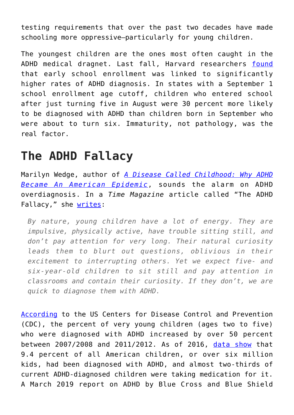testing requirements that over the past two decades have made schooling more oppressive—particularly for young children.

The youngest children are the ones most often caught in the ADHD medical dragnet. Last fall, Harvard researchers [found](https://news.harvard.edu/gazette/story/2018/11/when-starting-school-younger-children-are-more-likely-to-be-diagnosed-with-adhd-study-says/) that early school enrollment was linked to significantly higher rates of ADHD diagnosis. In states with a September 1 school enrollment age cutoff, children who entered school after just turning five in August were 30 percent more likely to be diagnosed with ADHD than children born in September who were about to turn six. Immaturity, not pathology, was the real factor.

### **The ADHD Fallacy**

Marilyn Wedge, author of *[A Disease Called Childhood: Why ADHD](http://www.amazon.com/Disease-Called-Childhood-American-Epidemic/dp/1583335633/) [Became An American Epidemic](http://www.amazon.com/Disease-Called-Childhood-American-Epidemic/dp/1583335633/)*, sounds the alarm on ADHD overdiagnosis. In a *Time Magazine* article called "The ADHD Fallacy," she [writes](http://time.com/3822755/adhd-disease-called-childhood/):

*By nature, young children have a lot of energy. They are impulsive, physically active, have trouble sitting still, and don't pay attention for very long. Their natural curiosity leads them to blurt out questions, oblivious in their excitement to interrupting others. Yet we expect five- and six-year-old children to sit still and pay attention in classrooms and contain their curiosity. If they don't, we are quick to diagnose them with ADHD.*

[According](https://www.cdc.gov/ncbddd/adhd/data.html) to the US Centers for Disease Control and Prevention (CDC), the percent of very young children (ages two to five) who were diagnosed with ADHD increased by over 50 percent between 2007/2008 and 2011/2012. As of 2016, [data show](https://www.tandfonline.com/doi/full/10.1080/15374416.2017.1417860) that 9.4 percent of all American children, or over six million kids, had been diagnosed with ADHD, and almost two-thirds of current ADHD-diagnosed children were taking medication for it. A March 2019 report on ADHD by Blue Cross and Blue Shield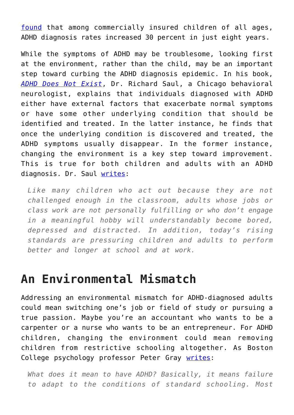[found](https://www.usatoday.com/story/sponsor-story/blue-cross-blue-shield-association/2019/03/29/new-report-shows-diagnosis-rates-adhd-have-risen-30-8-years/3309871002/) that among commercially insured children of all ages, ADHD diagnosis rates increased 30 percent in just eight years.

While the symptoms of ADHD may be troublesome, looking first at the environment, rather than the child, may be an important step toward curbing the ADHD diagnosis epidemic. In his book, *[ADHD Does Not Exist](http://www.amazon.com/ADHD-Does-Not-Exist-Hyperactivity/dp/0062266748/)*, Dr. Richard Saul, a Chicago behavioral neurologist, explains that individuals diagnosed with ADHD either have external factors that exacerbate normal symptoms or have some other underlying condition that should be identified and treated. In the latter instance, he finds that once the underlying condition is discovered and treated, the ADHD symptoms usually disappear. In the former instance, changing the environment is a key step toward improvement. This is true for both children and adults with an ADHD diagnosis. Dr. Saul [writes:](http://time.com/25370/doctor-adhd-does-not-exist/)

*Like many children who act out because they are not challenged enough in the classroom, adults whose jobs or class work are not personally fulfilling or who don't engage in a meaningful hobby will understandably become bored, depressed and distracted. In addition, today's rising standards are pressuring children and adults to perform better and longer at school and at work.*

#### **An Environmental Mismatch**

Addressing an environmental mismatch for ADHD-diagnosed adults could mean switching one's job or field of study or pursuing a true passion. Maybe you're an accountant who wants to be a carpenter or a nurse who wants to be an entrepreneur. For ADHD children, changing the environment could mean removing children from restrictive schooling altogether. As Boston College psychology professor Peter Gray [writes](https://www.psychologytoday.com/us/blog/freedom-learn/201007/adhd-school-assessing-normalcy-in-abnormal-environment?fbclid=IwAR01x6yEZ7VJbugUKOomkWsXQnLiG_N_2HlK57Kbmhgw8hnVoXSLuVtI5QU):

*What does it mean to have ADHD? Basically, it means failure to adapt to the conditions of standard schooling. Most*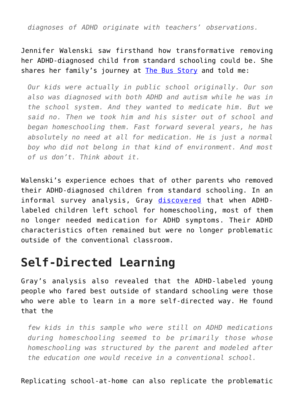*diagnoses of ADHD originate with teachers' observations.*

Jennifer Walenski saw firsthand how transformative removing her ADHD-diagnosed child from standard schooling could be. She shares her family's journey at [The Bus Story](http://www.facebook.com/walenskifamilyadventures/) and told me:

*Our kids were actually in public school originally. Our son also was diagnosed with both ADHD and autism while he was in the school system. And they wanted to medicate him. But we said no. Then we took him and his sister out of school and began homeschooling them. Fast forward several years, he has absolutely no need at all for medication. He is just a normal boy who did not belong in that kind of environment. And most of us don't. Think about it.*

Walenski's experience echoes that of other parents who removed their ADHD-diagnosed children from standard schooling. In an informal survey analysis, Gray [discovered](https://www.psychologytoday.com/us/blog/freedom-learn/201009/experiences-adhd-labeled-kids-who-leave-typical-schooling?fbclid=IwAR03G4Ath-7jYALtapD-F8EcO8qAj9h3UEmywgliB8JNlVicHnlQaStu0ac) that when ADHDlabeled children left school for homeschooling, most of them no longer needed medication for ADHD symptoms. Their ADHD characteristics often remained but were no longer problematic outside of the conventional classroom.

### **Self-Directed Learning**

Gray's analysis also revealed that the ADHD-labeled young people who fared best outside of standard schooling were those who were able to learn in a more self-directed way. He found that the

*few kids in this sample who were still on ADHD medications during homeschooling seemed to be primarily those whose homeschooling was structured by the parent and modeled after the education one would receive in a conventional school.*

Replicating school-at-home can also replicate the problematic